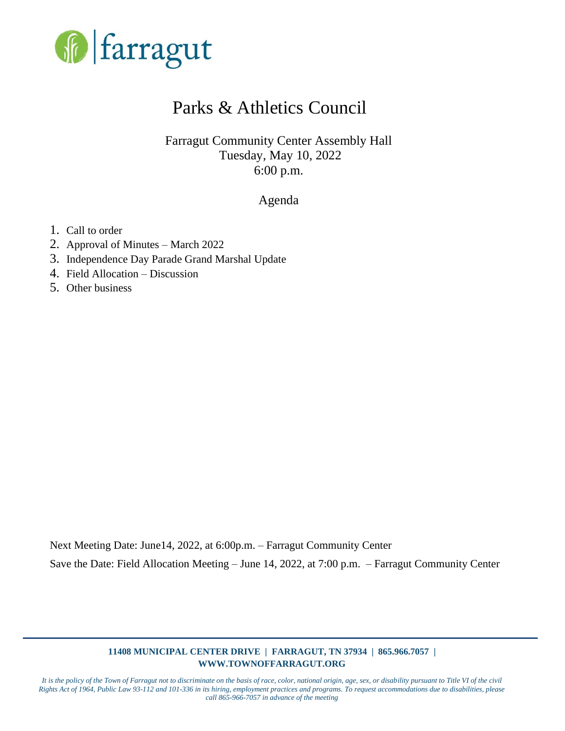

# Parks & Athletics Council

Farragut Community Center Assembly Hall Tuesday, May 10, 2022 6:00 p.m.

Agenda

- 1. Call to order
- 2. Approval of Minutes March 2022
- 3. Independence Day Parade Grand Marshal Update
- 4. Field Allocation Discussion
- 5. Other business

Next Meeting Date: June14, 2022, at 6:00p.m. – Farragut Community Center Save the Date: Field Allocation Meeting – June 14, 2022, at 7:00 p.m. – Farragut Community Center

#### **11408 MUNICIPAL CENTER DRIVE | FARRAGUT, TN 37934 | 865.966.7057 | WWW.TOWNOFFARRAGUT.ORG**

*It is the policy of the Town of Farragut not to discriminate on the basis of race, color, national origin, age, sex, or disability pursuant to Title VI of the civil Rights Act of 1964, Public Law 93-112 and 101-336 in its hiring, employment practices and programs. To request accommodations due to disabilities, please call 865-966-7057 in advance of the meeting*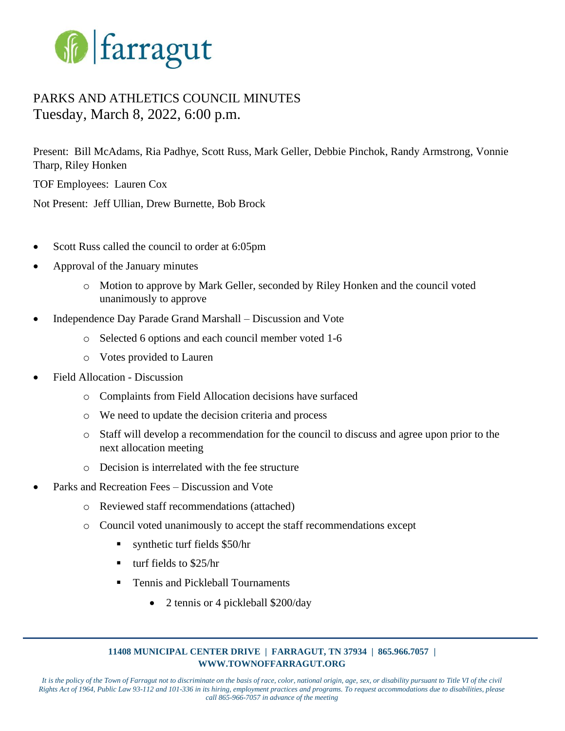

# PARKS AND ATHLETICS COUNCIL MINUTES Tuesday, March 8, 2022, 6:00 p.m.

Present: Bill McAdams, Ria Padhye, Scott Russ, Mark Geller, Debbie Pinchok, Randy Armstrong, Vonnie Tharp, Riley Honken

TOF Employees: Lauren Cox

Not Present: Jeff Ullian, Drew Burnette, Bob Brock

- Scott Russ called the council to order at 6:05pm
- Approval of the January minutes
	- o Motion to approve by Mark Geller, seconded by Riley Honken and the council voted unanimously to approve
- Independence Day Parade Grand Marshall Discussion and Vote
	- o Selected 6 options and each council member voted 1-6
	- o Votes provided to Lauren
- Field Allocation Discussion
	- o Complaints from Field Allocation decisions have surfaced
	- o We need to update the decision criteria and process
	- o Staff will develop a recommendation for the council to discuss and agree upon prior to the next allocation meeting
	- o Decision is interrelated with the fee structure
- Parks and Recreation Fees Discussion and Vote
	- o Reviewed staff recommendations (attached)
	- o Council voted unanimously to accept the staff recommendations except
		- $\blacksquare$  synthetic turf fields \$50/hr
		- $\blacksquare$  turf fields to \$25/hr
		- Tennis and Pickleball Tournaments
			- 2 tennis or 4 pickleball \$200/day

#### **11408 MUNICIPAL CENTER DRIVE | FARRAGUT, TN 37934 | 865.966.7057 | WWW.TOWNOFFARRAGUT.ORG**

*It is the policy of the Town of Farragut not to discriminate on the basis of race, color, national origin, age, sex, or disability pursuant to Title VI of the civil Rights Act of 1964, Public Law 93-112 and 101-336 in its hiring, employment practices and programs. To request accommodations due to disabilities, please call 865-966-7057 in advance of the meeting*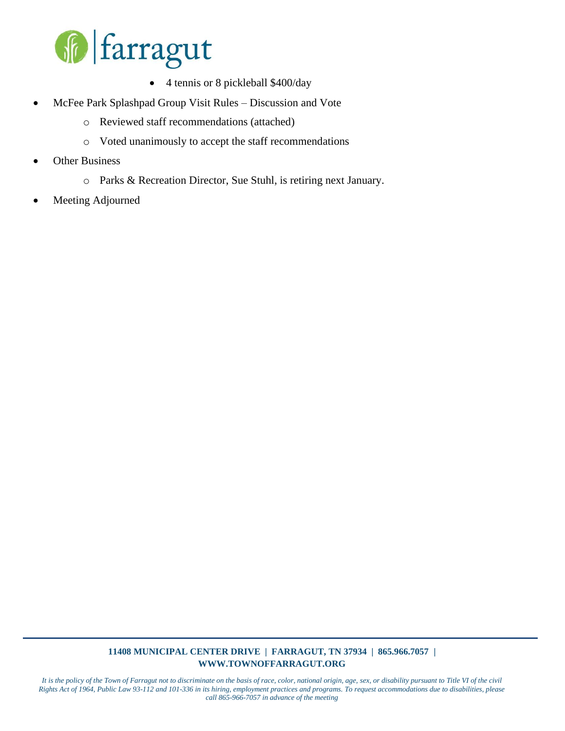

- 4 tennis or 8 pickleball \$400/day
- McFee Park Splashpad Group Visit Rules Discussion and Vote
	- o Reviewed staff recommendations (attached)
	- o Voted unanimously to accept the staff recommendations
- **Other Business** 
	- o Parks & Recreation Director, Sue Stuhl, is retiring next January.
- Meeting Adjourned

#### **11408 MUNICIPAL CENTER DRIVE | FARRAGUT, TN 37934 | 865.966.7057 | WWW.TOWNOFFARRAGUT.ORG**

*It is the policy of the Town of Farragut not to discriminate on the basis of race, color, national origin, age, sex, or disability pursuant to Title VI of the civil Rights Act of 1964, Public Law 93-112 and 101-336 in its hiring, employment practices and programs. To request accommodations due to disabilities, please call 865-966-7057 in advance of the meeting*